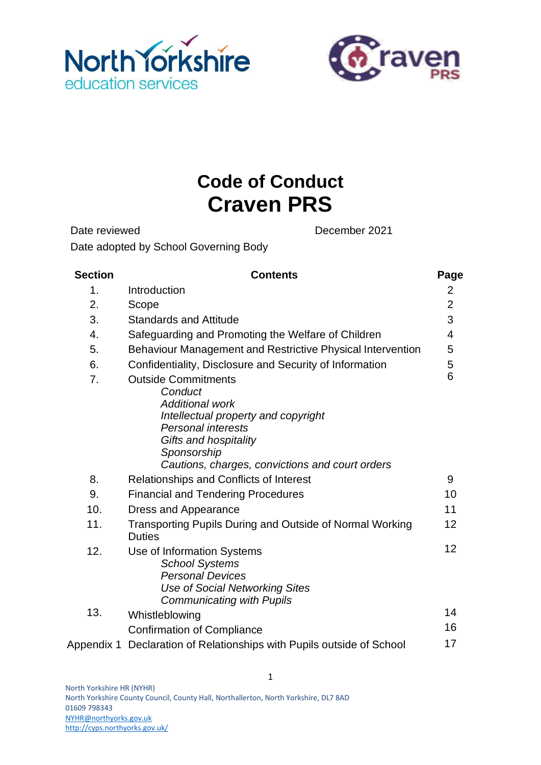



# **Code of Conduct Craven PRS**

Date reviewed December 2021 Date adopted by School Governing Body

**Section Contents Page** 1. Introduction 2 2. Scope 2 3. Standards and Attitude 3 4. Safeguarding and Promoting the Welfare of Children 4 5. Behaviour Management and Restrictive Physical Intervention 5 6. Confidentiality, Disclosure and Security of Information 5 7. Outside Commitments *Conduct Additional work Intellectual property and copyright Personal interests Gifts and hospitality Sponsorship Cautions, charges, convictions and court orders* 6 8. Relationships and Conflicts of Interest 6. The Relationships and Conflicts of Interest 6. The Manus 19 9. Financial and Tendering Procedures **10** 10. Dress and Appearance 11 and 11 11. Transporting Pupils During and Outside of Normal Working **Duties** 12 12. Use of Information Systems *School Systems Personal Devices Use of Social Networking Sites Communicating with Pupils* 12 13. Whistleblowing **14** Confirmation of Compliance 16 Appendix 1 Declaration of Relationships with Pupils outside of School 17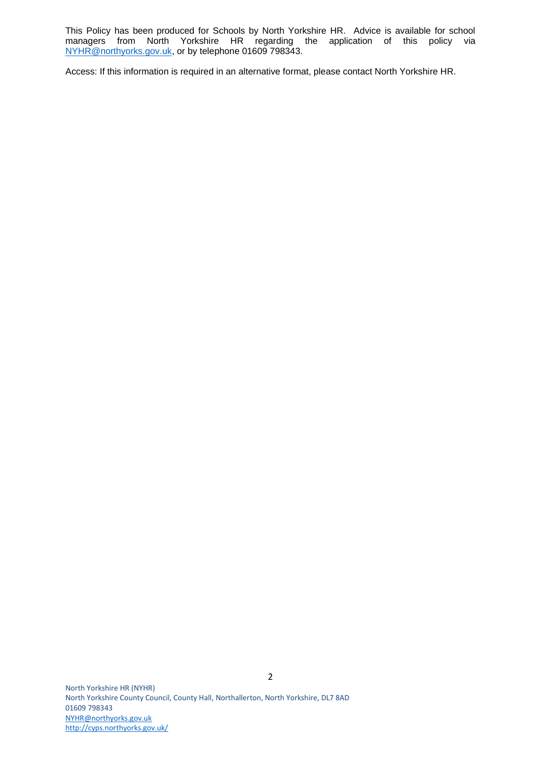This Policy has been produced for Schools by North Yorkshire HR. Advice is available for school managers from North Yorkshire HR regarding the application of this policy via [NYHR@northyorks.gov.uk,](mailto:NYHR@northyorks.gov.uk) or by telephone 01609 798343.

Access: If this information is required in an alternative format, please contact North Yorkshire HR.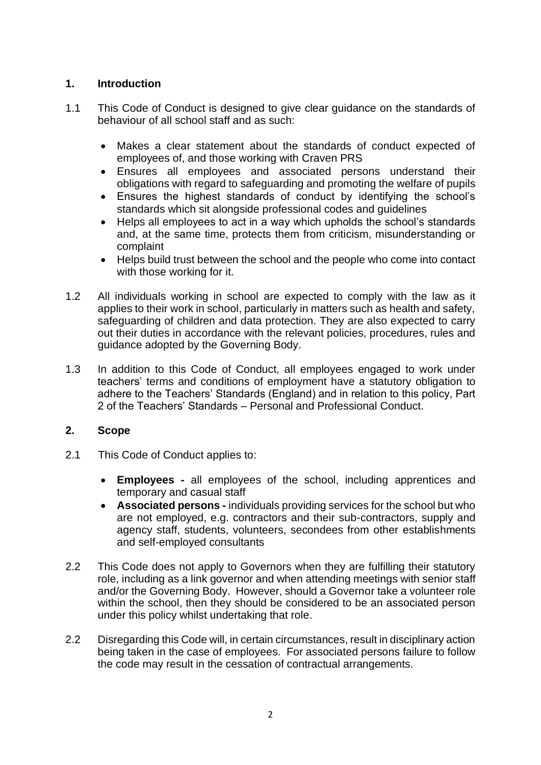## **1. Introduction**

- 1.1 This Code of Conduct is designed to give clear guidance on the standards of behaviour of all school staff and as such:
	- Makes a clear statement about the standards of conduct expected of employees of, and those working with Craven PRS
	- Ensures all employees and associated persons understand their obligations with regard to safeguarding and promoting the welfare of pupils
	- Ensures the highest standards of conduct by identifying the school's standards which sit alongside professional codes and guidelines
	- Helps all employees to act in a way which upholds the school's standards and, at the same time, protects them from criticism, misunderstanding or complaint
	- Helps build trust between the school and the people who come into contact with those working for it.
- 1.2 All individuals working in school are expected to comply with the law as it applies to their work in school, particularly in matters such as health and safety, safeguarding of children and data protection. They are also expected to carry out their duties in accordance with the relevant policies, procedures, rules and guidance adopted by the Governing Body.
- 1.3 In addition to this Code of Conduct, all employees engaged to work under teachers' terms and conditions of employment have a statutory obligation to adhere to the Teachers' Standards (England) and in relation to this policy, Part 2 of the Teachers' Standards – Personal and Professional Conduct.

## **2. Scope**

- 2.1 This Code of Conduct applies to:
	- **Employees -** all employees of the school, including apprentices and temporary and casual staff
	- **Associated persons -** individuals providing services for the school but who are not employed, e.g. contractors and their sub-contractors, supply and agency staff, students, volunteers, secondees from other establishments and self-employed consultants
- 2.2 This Code does not apply to Governors when they are fulfilling their statutory role, including as a link governor and when attending meetings with senior staff and/or the Governing Body. However, should a Governor take a volunteer role within the school, then they should be considered to be an associated person under this policy whilst undertaking that role.
- 2.2 Disregarding this Code will, in certain circumstances, result in disciplinary action being taken in the case of employees. For associated persons failure to follow the code may result in the cessation of contractual arrangements.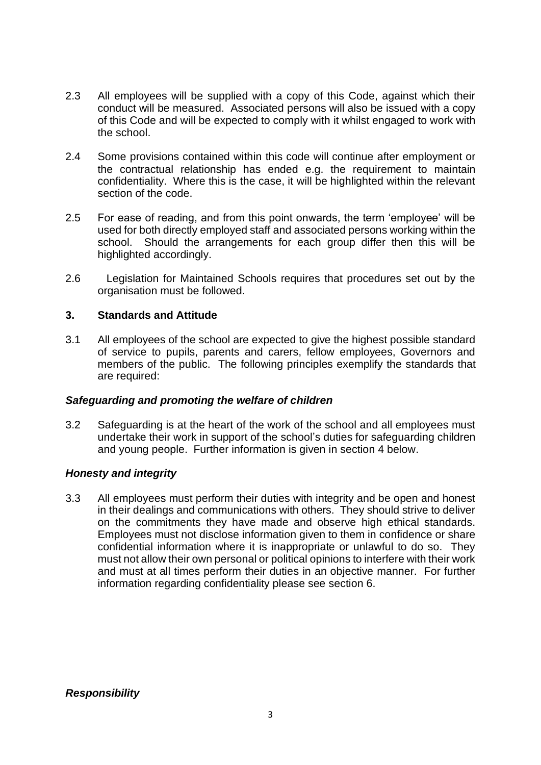- 2.3 All employees will be supplied with a copy of this Code, against which their conduct will be measured. Associated persons will also be issued with a copy of this Code and will be expected to comply with it whilst engaged to work with the school.
- 2.4 Some provisions contained within this code will continue after employment or the contractual relationship has ended e.g. the requirement to maintain confidentiality. Where this is the case, it will be highlighted within the relevant section of the code.
- 2.5 For ease of reading, and from this point onwards, the term 'employee' will be used for both directly employed staff and associated persons working within the school. Should the arrangements for each group differ then this will be highlighted accordingly.
- 2.6 Legislation for Maintained Schools requires that procedures set out by the organisation must be followed.

#### **3. Standards and Attitude**

3.1 All employees of the school are expected to give the highest possible standard of service to pupils, parents and carers, fellow employees, Governors and members of the public. The following principles exemplify the standards that are required:

#### *Safeguarding and promoting the welfare of children*

3.2 Safeguarding is at the heart of the work of the school and all employees must undertake their work in support of the school's duties for safeguarding children and young people. Further information is given in section 4 below.

#### *Honesty and integrity*

3.3 All employees must perform their duties with integrity and be open and honest in their dealings and communications with others. They should strive to deliver on the commitments they have made and observe high ethical standards. Employees must not disclose information given to them in confidence or share confidential information where it is inappropriate or unlawful to do so. They must not allow their own personal or political opinions to interfere with their work and must at all times perform their duties in an objective manner. For further information regarding confidentiality please see section 6.

*Responsibility*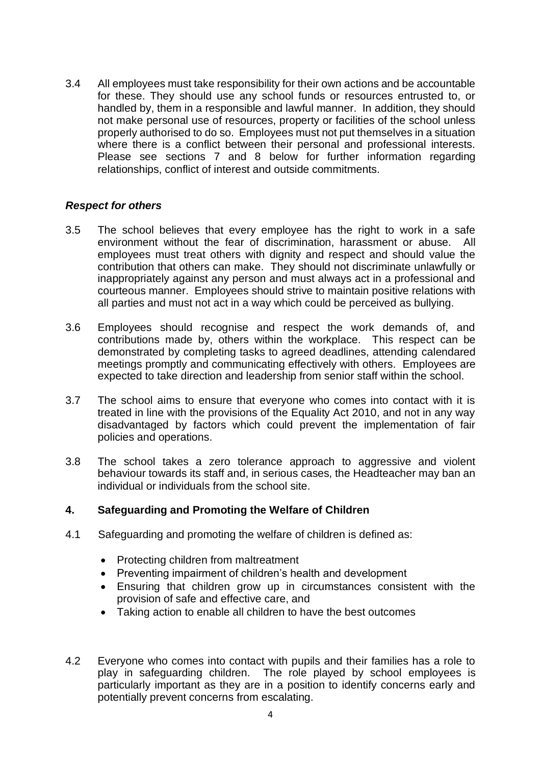3.4 All employees must take responsibility for their own actions and be accountable for these. They should use any school funds or resources entrusted to, or handled by, them in a responsible and lawful manner. In addition, they should not make personal use of resources, property or facilities of the school unless properly authorised to do so. Employees must not put themselves in a situation where there is a conflict between their personal and professional interests. Please see sections 7 and 8 below for further information regarding relationships, conflict of interest and outside commitments.

#### *Respect for others*

- 3.5 The school believes that every employee has the right to work in a safe environment without the fear of discrimination, harassment or abuse. All employees must treat others with dignity and respect and should value the contribution that others can make. They should not discriminate unlawfully or inappropriately against any person and must always act in a professional and courteous manner. Employees should strive to maintain positive relations with all parties and must not act in a way which could be perceived as bullying.
- 3.6 Employees should recognise and respect the work demands of, and contributions made by, others within the workplace. This respect can be demonstrated by completing tasks to agreed deadlines, attending calendared meetings promptly and communicating effectively with others. Employees are expected to take direction and leadership from senior staff within the school.
- 3.7 The school aims to ensure that everyone who comes into contact with it is treated in line with the provisions of the Equality Act 2010, and not in any way disadvantaged by factors which could prevent the implementation of fair policies and operations.
- 3.8 The school takes a zero tolerance approach to aggressive and violent behaviour towards its staff and, in serious cases, the Headteacher may ban an individual or individuals from the school site.

#### **4. Safeguarding and Promoting the Welfare of Children**

- 4.1 Safeguarding and promoting the welfare of children is defined as:
	- Protecting children from maltreatment
	- Preventing impairment of children's health and development
	- Ensuring that children grow up in circumstances consistent with the provision of safe and effective care, and
	- Taking action to enable all children to have the best outcomes
- 4.2 Everyone who comes into contact with pupils and their families has a role to play in safeguarding children. The role played by school employees is particularly important as they are in a position to identify concerns early and potentially prevent concerns from escalating.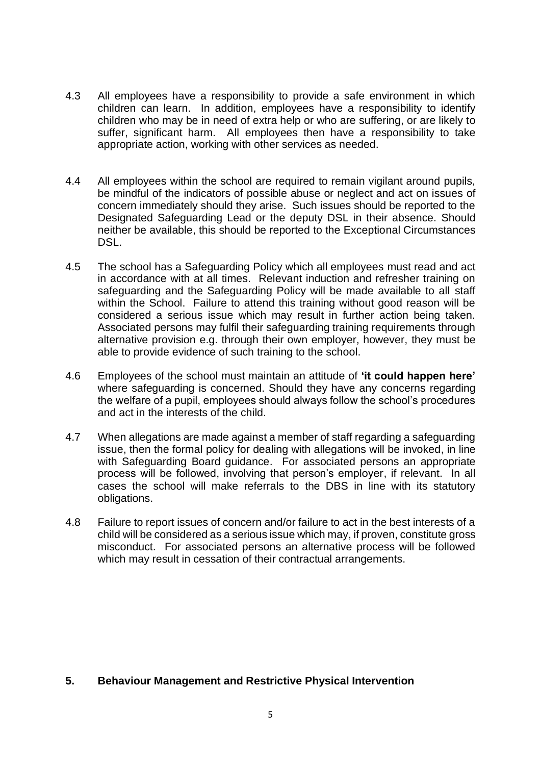- 4.3 All employees have a responsibility to provide a safe environment in which children can learn. In addition, employees have a responsibility to identify children who may be in need of extra help or who are suffering, or are likely to suffer, significant harm. All employees then have a responsibility to take appropriate action, working with other services as needed.
- 4.4 All employees within the school are required to remain vigilant around pupils, be mindful of the indicators of possible abuse or neglect and act on issues of concern immediately should they arise. Such issues should be reported to the Designated Safeguarding Lead or the deputy DSL in their absence. Should neither be available, this should be reported to the Exceptional Circumstances DSL.
- 4.5 The school has a Safeguarding Policy which all employees must read and act in accordance with at all times. Relevant induction and refresher training on safeguarding and the Safeguarding Policy will be made available to all staff within the School. Failure to attend this training without good reason will be considered a serious issue which may result in further action being taken. Associated persons may fulfil their safeguarding training requirements through alternative provision e.g. through their own employer, however, they must be able to provide evidence of such training to the school.
- 4.6 Employees of the school must maintain an attitude of **'it could happen here'** where safeguarding is concerned. Should they have any concerns regarding the welfare of a pupil, employees should always follow the school's procedures and act in the interests of the child.
- 4.7 When allegations are made against a member of staff regarding a safeguarding issue, then the formal policy for dealing with allegations will be invoked, in line with Safeguarding Board guidance. For associated persons an appropriate process will be followed, involving that person's employer, if relevant. In all cases the school will make referrals to the DBS in line with its statutory obligations.
- 4.8 Failure to report issues of concern and/or failure to act in the best interests of a child will be considered as a serious issue which may, if proven, constitute gross misconduct. For associated persons an alternative process will be followed which may result in cessation of their contractual arrangements.

#### **5. Behaviour Management and Restrictive Physical Intervention**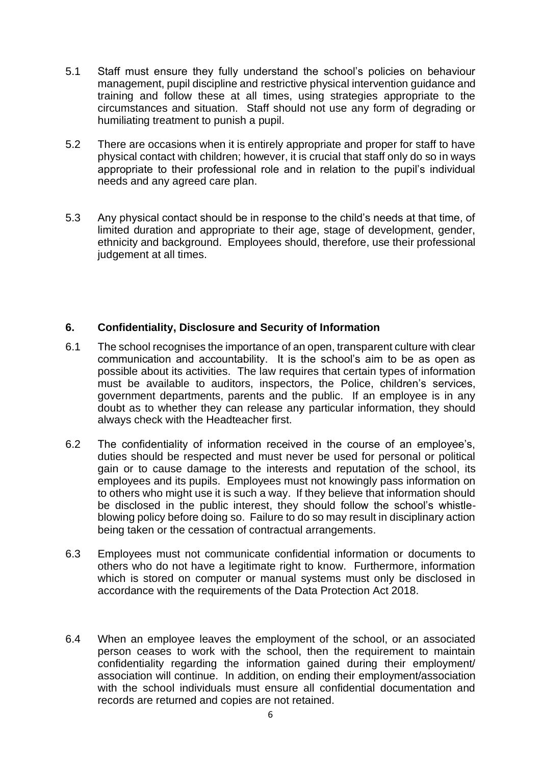- 5.1 Staff must ensure they fully understand the school's policies on behaviour management, pupil discipline and restrictive physical intervention guidance and training and follow these at all times, using strategies appropriate to the circumstances and situation. Staff should not use any form of degrading or humiliating treatment to punish a pupil.
- 5.2 There are occasions when it is entirely appropriate and proper for staff to have physical contact with children; however, it is crucial that staff only do so in ways appropriate to their professional role and in relation to the pupil's individual needs and any agreed care plan.
- 5.3 Any physical contact should be in response to the child's needs at that time, of limited duration and appropriate to their age, stage of development, gender, ethnicity and background. Employees should, therefore, use their professional judgement at all times.

#### **6. Confidentiality, Disclosure and Security of Information**

- 6.1 The school recognises the importance of an open, transparent culture with clear communication and accountability. It is the school's aim to be as open as possible about its activities. The law requires that certain types of information must be available to auditors, inspectors, the Police, children's services, government departments, parents and the public. If an employee is in any doubt as to whether they can release any particular information, they should always check with the Headteacher first.
- 6.2 The confidentiality of information received in the course of an employee's, duties should be respected and must never be used for personal or political gain or to cause damage to the interests and reputation of the school, its employees and its pupils. Employees must not knowingly pass information on to others who might use it is such a way. If they believe that information should be disclosed in the public interest, they should follow the school's whistleblowing policy before doing so. Failure to do so may result in disciplinary action being taken or the cessation of contractual arrangements.
- 6.3 Employees must not communicate confidential information or documents to others who do not have a legitimate right to know. Furthermore, information which is stored on computer or manual systems must only be disclosed in accordance with the requirements of the Data Protection Act 2018.
- 6.4 When an employee leaves the employment of the school, or an associated person ceases to work with the school, then the requirement to maintain confidentiality regarding the information gained during their employment/ association will continue. In addition, on ending their employment/association with the school individuals must ensure all confidential documentation and records are returned and copies are not retained.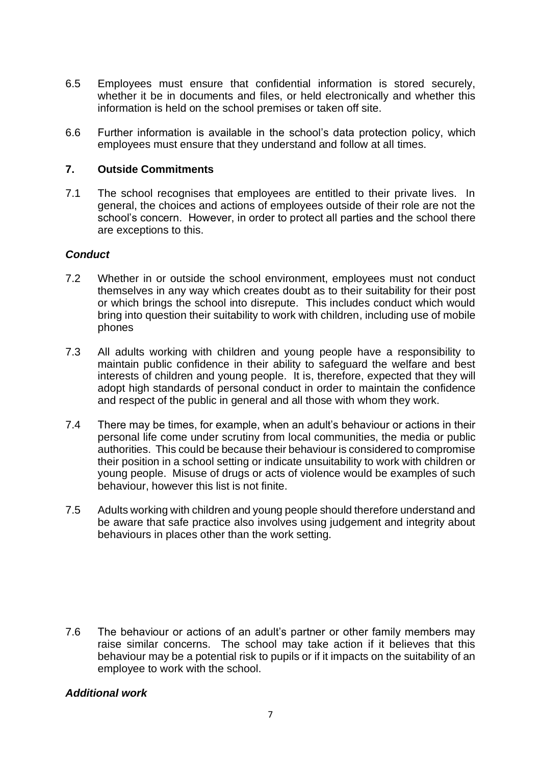- 6.5 Employees must ensure that confidential information is stored securely, whether it be in documents and files, or held electronically and whether this information is held on the school premises or taken off site.
- 6.6 Further information is available in the school's data protection policy, which employees must ensure that they understand and follow at all times.

#### **7. Outside Commitments**

7.1 The school recognises that employees are entitled to their private lives. In general, the choices and actions of employees outside of their role are not the school's concern. However, in order to protect all parties and the school there are exceptions to this.

#### *Conduct*

- 7.2 Whether in or outside the school environment, employees must not conduct themselves in any way which creates doubt as to their suitability for their post or which brings the school into disrepute. This includes conduct which would bring into question their suitability to work with children, including use of mobile phones
- 7.3 All adults working with children and young people have a responsibility to maintain public confidence in their ability to safeguard the welfare and best interests of children and young people. It is, therefore, expected that they will adopt high standards of personal conduct in order to maintain the confidence and respect of the public in general and all those with whom they work.
- 7.4 There may be times, for example, when an adult's behaviour or actions in their personal life come under scrutiny from local communities, the media or public authorities. This could be because their behaviour is considered to compromise their position in a school setting or indicate unsuitability to work with children or young people. Misuse of drugs or acts of violence would be examples of such behaviour, however this list is not finite.
- 7.5 Adults working with children and young people should therefore understand and be aware that safe practice also involves using judgement and integrity about behaviours in places other than the work setting.

7.6 The behaviour or actions of an adult's partner or other family members may raise similar concerns. The school may take action if it believes that this behaviour may be a potential risk to pupils or if it impacts on the suitability of an employee to work with the school.

#### *Additional work*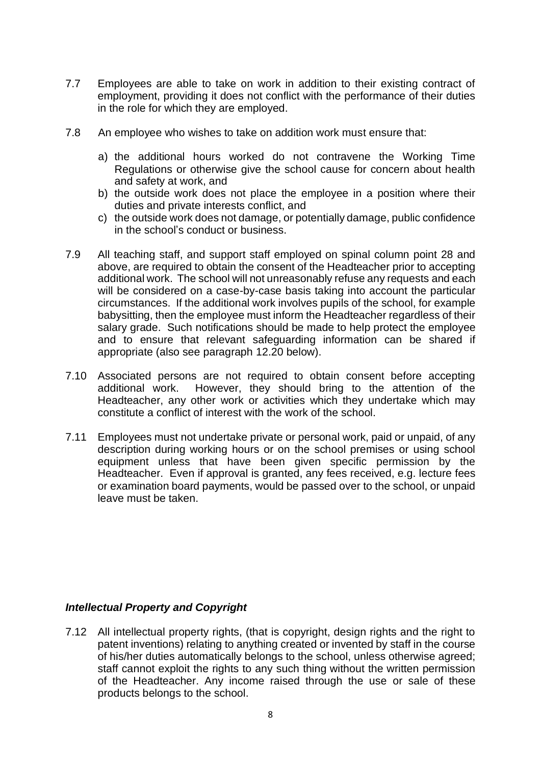- 7.7 Employees are able to take on work in addition to their existing contract of employment, providing it does not conflict with the performance of their duties in the role for which they are employed.
- 7.8 An employee who wishes to take on addition work must ensure that:
	- a) the additional hours worked do not contravene the Working Time Regulations or otherwise give the school cause for concern about health and safety at work, and
	- b) the outside work does not place the employee in a position where their duties and private interests conflict, and
	- c) the outside work does not damage, or potentially damage, public confidence in the school's conduct or business.
- 7.9 All teaching staff, and support staff employed on spinal column point 28 and above, are required to obtain the consent of the Headteacher prior to accepting additional work. The school will not unreasonably refuse any requests and each will be considered on a case-by-case basis taking into account the particular circumstances. If the additional work involves pupils of the school, for example babysitting, then the employee must inform the Headteacher regardless of their salary grade. Such notifications should be made to help protect the employee and to ensure that relevant safeguarding information can be shared if appropriate (also see paragraph 12.20 below).
- 7.10 Associated persons are not required to obtain consent before accepting additional work. However, they should bring to the attention of the Headteacher, any other work or activities which they undertake which may constitute a conflict of interest with the work of the school.
- 7.11 Employees must not undertake private or personal work, paid or unpaid, of any description during working hours or on the school premises or using school equipment unless that have been given specific permission by the Headteacher. Even if approval is granted, any fees received, e.g. lecture fees or examination board payments, would be passed over to the school, or unpaid leave must be taken.

#### *Intellectual Property and Copyright*

7.12 All intellectual property rights, (that is copyright, design rights and the right to patent inventions) relating to anything created or invented by staff in the course of his/her duties automatically belongs to the school, unless otherwise agreed; staff cannot exploit the rights to any such thing without the written permission of the Headteacher. Any income raised through the use or sale of these products belongs to the school.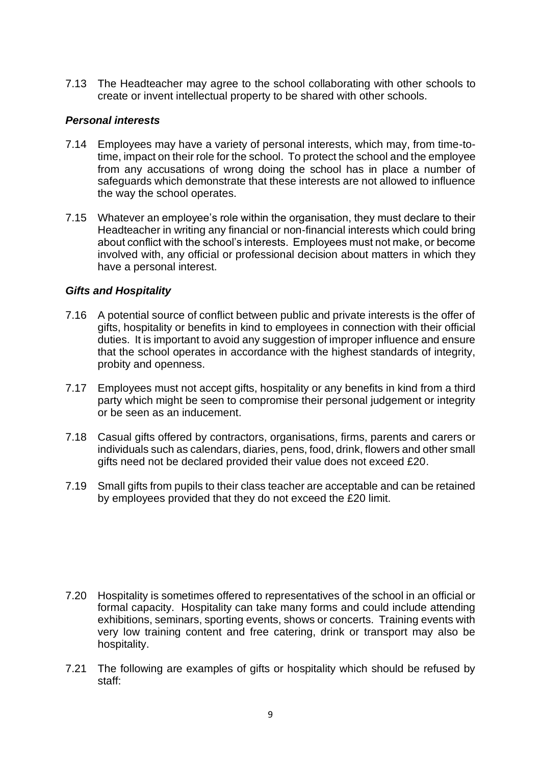7.13 The Headteacher may agree to the school collaborating with other schools to create or invent intellectual property to be shared with other schools.

## *Personal interests*

- 7.14 Employees may have a variety of personal interests, which may, from time-totime, impact on their role for the school. To protect the school and the employee from any accusations of wrong doing the school has in place a number of safeguards which demonstrate that these interests are not allowed to influence the way the school operates.
- 7.15 Whatever an employee's role within the organisation, they must declare to their Headteacher in writing any financial or non-financial interests which could bring about conflict with the school's interests. Employees must not make, or become involved with, any official or professional decision about matters in which they have a personal interest.

#### *Gifts and Hospitality*

- 7.16 A potential source of conflict between public and private interests is the offer of gifts, hospitality or benefits in kind to employees in connection with their official duties. It is important to avoid any suggestion of improper influence and ensure that the school operates in accordance with the highest standards of integrity, probity and openness.
- 7.17 Employees must not accept gifts, hospitality or any benefits in kind from a third party which might be seen to compromise their personal judgement or integrity or be seen as an inducement.
- 7.18 Casual gifts offered by contractors, organisations, firms, parents and carers or individuals such as calendars, diaries, pens, food, drink, flowers and other small gifts need not be declared provided their value does not exceed £20.
- 7.19 Small gifts from pupils to their class teacher are acceptable and can be retained by employees provided that they do not exceed the £20 limit.

- 7.20 Hospitality is sometimes offered to representatives of the school in an official or formal capacity. Hospitality can take many forms and could include attending exhibitions, seminars, sporting events, shows or concerts. Training events with very low training content and free catering, drink or transport may also be hospitality.
- 7.21 The following are examples of gifts or hospitality which should be refused by staff: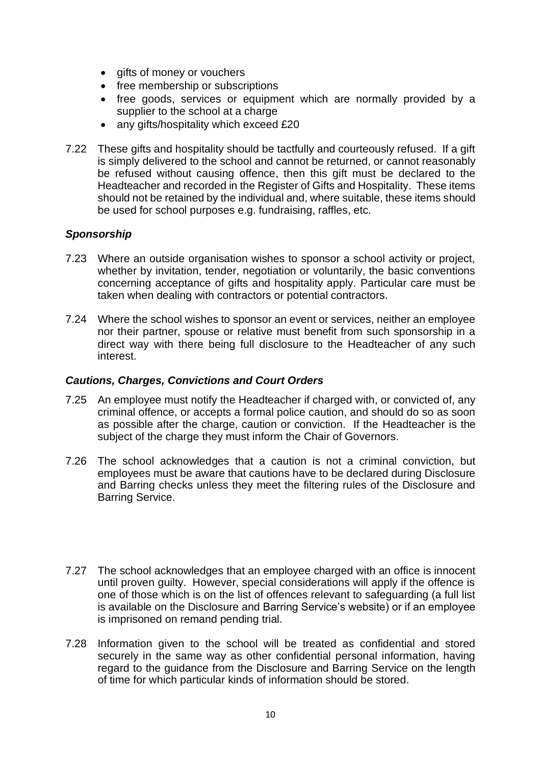- gifts of money or vouchers
- free membership or subscriptions
- free goods, services or equipment which are normally provided by a supplier to the school at a charge
- any gifts/hospitality which exceed £20
- 7.22 These gifts and hospitality should be tactfully and courteously refused. If a gift is simply delivered to the school and cannot be returned, or cannot reasonably be refused without causing offence, then this gift must be declared to the Headteacher and recorded in the Register of Gifts and Hospitality. These items should not be retained by the individual and, where suitable, these items should be used for school purposes e.g. fundraising, raffles, etc.

#### *Sponsorship*

- 7.23 Where an outside organisation wishes to sponsor a school activity or project, whether by invitation, tender, negotiation or voluntarily, the basic conventions concerning acceptance of gifts and hospitality apply. Particular care must be taken when dealing with contractors or potential contractors.
- 7.24 Where the school wishes to sponsor an event or services, neither an employee nor their partner, spouse or relative must benefit from such sponsorship in a direct way with there being full disclosure to the Headteacher of any such interest.

#### *Cautions, Charges, Convictions and Court Orders*

- 7.25 An employee must notify the Headteacher if charged with, or convicted of, any criminal offence, or accepts a formal police caution, and should do so as soon as possible after the charge, caution or conviction. If the Headteacher is the subject of the charge they must inform the Chair of Governors.
- 7.26 The school acknowledges that a caution is not a criminal conviction, but employees must be aware that cautions have to be declared during Disclosure and Barring checks unless they meet the filtering rules of the Disclosure and Barring Service.
- 7.27 The school acknowledges that an employee charged with an office is innocent until proven guilty. However, special considerations will apply if the offence is one of those which is on the list of offences relevant to safeguarding (a full list is available on the Disclosure and Barring Service's website) or if an employee is imprisoned on remand pending trial.
- 7.28 Information given to the school will be treated as confidential and stored securely in the same way as other confidential personal information, having regard to the guidance from the Disclosure and Barring Service on the length of time for which particular kinds of information should be stored.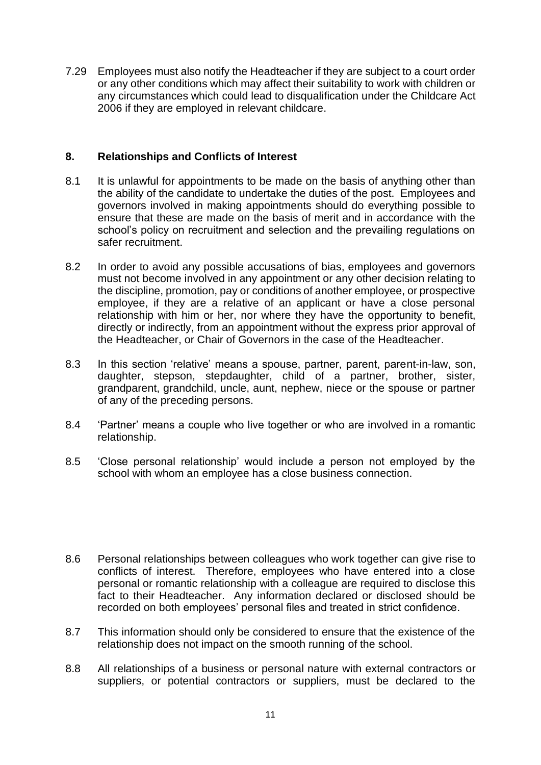7.29 Employees must also notify the Headteacher if they are subject to a court order or any other conditions which may affect their suitability to work with children or any circumstances which could lead to disqualification under the Childcare Act 2006 if they are employed in relevant childcare.

## **8. Relationships and Conflicts of Interest**

- 8.1 It is unlawful for appointments to be made on the basis of anything other than the ability of the candidate to undertake the duties of the post. Employees and governors involved in making appointments should do everything possible to ensure that these are made on the basis of merit and in accordance with the school's policy on recruitment and selection and the prevailing regulations on safer recruitment.
- 8.2 In order to avoid any possible accusations of bias, employees and governors must not become involved in any appointment or any other decision relating to the discipline, promotion, pay or conditions of another employee, or prospective employee, if they are a relative of an applicant or have a close personal relationship with him or her, nor where they have the opportunity to benefit, directly or indirectly, from an appointment without the express prior approval of the Headteacher, or Chair of Governors in the case of the Headteacher.
- 8.3 In this section 'relative' means a spouse, partner, parent, parent-in-law, son, daughter, stepson, stepdaughter, child of a partner, brother, sister, grandparent, grandchild, uncle, aunt, nephew, niece or the spouse or partner of any of the preceding persons.
- 8.4 'Partner' means a couple who live together or who are involved in a romantic relationship.
- 8.5 'Close personal relationship' would include a person not employed by the school with whom an employee has a close business connection.
- 8.6 Personal relationships between colleagues who work together can give rise to conflicts of interest. Therefore, employees who have entered into a close personal or romantic relationship with a colleague are required to disclose this fact to their Headteacher. Any information declared or disclosed should be recorded on both employees' personal files and treated in strict confidence.
- 8.7 This information should only be considered to ensure that the existence of the relationship does not impact on the smooth running of the school.
- 8.8 All relationships of a business or personal nature with external contractors or suppliers, or potential contractors or suppliers, must be declared to the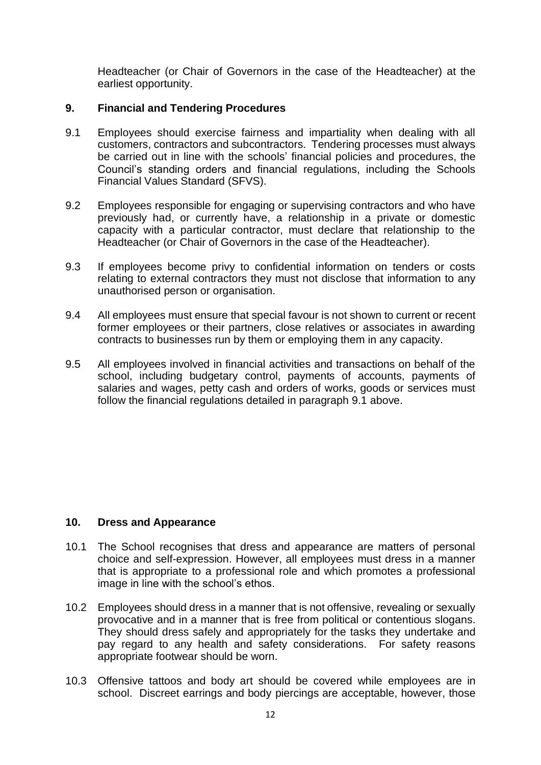Headteacher (or Chair of Governors in the case of the Headteacher) at the earliest opportunity.

#### **9. Financial and Tendering Procedures**

- 9.1 Employees should exercise fairness and impartiality when dealing with all customers, contractors and subcontractors. Tendering processes must always be carried out in line with the schools' financial policies and procedures, the Council's standing orders and financial regulations, including the Schools Financial Values Standard (SFVS).
- 9.2 Employees responsible for engaging or supervising contractors and who have previously had, or currently have, a relationship in a private or domestic capacity with a particular contractor, must declare that relationship to the Headteacher (or Chair of Governors in the case of the Headteacher).
- 9.3 If employees become privy to confidential information on tenders or costs relating to external contractors they must not disclose that information to any unauthorised person or organisation.
- 9.4 All employees must ensure that special favour is not shown to current or recent former employees or their partners, close relatives or associates in awarding contracts to businesses run by them or employing them in any capacity.
- 9.5 All employees involved in financial activities and transactions on behalf of the school, including budgetary control, payments of accounts, payments of salaries and wages, petty cash and orders of works, goods or services must follow the financial regulations detailed in paragraph 9.1 above.

#### **10. Dress and Appearance**

- 10.1 The School recognises that dress and appearance are matters of personal choice and self-expression. However, all employees must dress in a manner that is appropriate to a professional role and which promotes a professional image in line with the school's ethos.
- 10.2 Employees should dress in a manner that is not offensive, revealing or sexually provocative and in a manner that is free from political or contentious slogans. They should dress safely and appropriately for the tasks they undertake and pay regard to any health and safety considerations. For safety reasons appropriate footwear should be worn.
- 10.3 Offensive tattoos and body art should be covered while employees are in school. Discreet earrings and body piercings are acceptable, however, those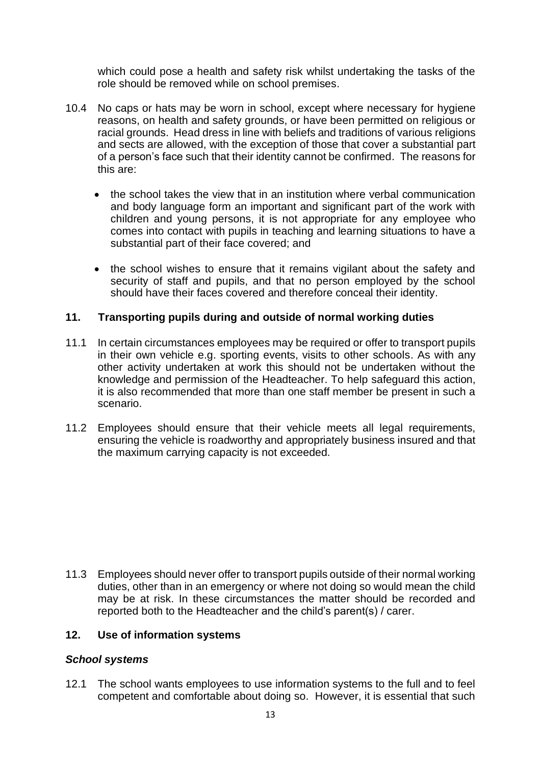which could pose a health and safety risk whilst undertaking the tasks of the role should be removed while on school premises.

- 10.4 No caps or hats may be worn in school, except where necessary for hygiene reasons, on health and safety grounds, or have been permitted on religious or racial grounds. Head dress in line with beliefs and traditions of various religions and sects are allowed, with the exception of those that cover a substantial part of a person's face such that their identity cannot be confirmed. The reasons for this are:
	- the school takes the view that in an institution where verbal communication and body language form an important and significant part of the work with children and young persons, it is not appropriate for any employee who comes into contact with pupils in teaching and learning situations to have a substantial part of their face covered; and
	- the school wishes to ensure that it remains vigilant about the safety and security of staff and pupils, and that no person employed by the school should have their faces covered and therefore conceal their identity.

#### **11. Transporting pupils during and outside of normal working duties**

- 11.1 In certain circumstances employees may be required or offer to transport pupils in their own vehicle e.g. sporting events, visits to other schools. As with any other activity undertaken at work this should not be undertaken without the knowledge and permission of the Headteacher. To help safeguard this action, it is also recommended that more than one staff member be present in such a scenario.
- 11.2 Employees should ensure that their vehicle meets all legal requirements, ensuring the vehicle is roadworthy and appropriately business insured and that the maximum carrying capacity is not exceeded.

11.3 Employees should never offer to transport pupils outside of their normal working duties, other than in an emergency or where not doing so would mean the child may be at risk. In these circumstances the matter should be recorded and reported both to the Headteacher and the child's parent(s) / carer.

#### **12. Use of information systems**

#### *School systems*

12.1 The school wants employees to use information systems to the full and to feel competent and comfortable about doing so. However, it is essential that such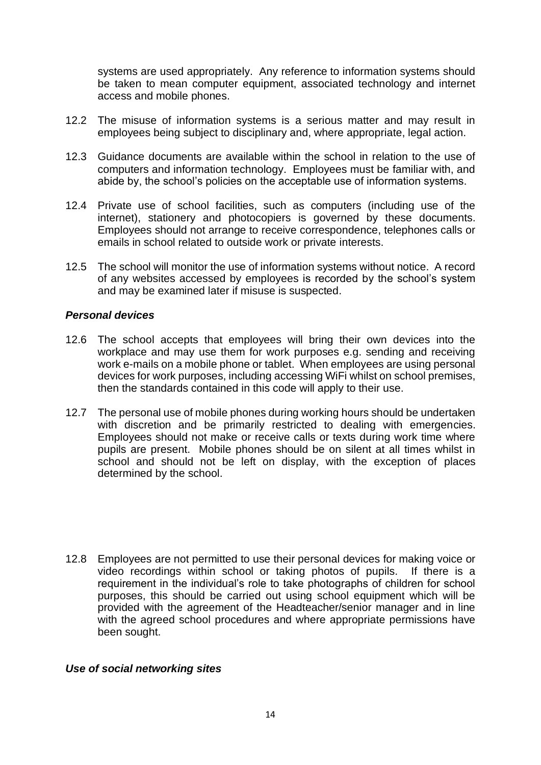systems are used appropriately. Any reference to information systems should be taken to mean computer equipment, associated technology and internet access and mobile phones.

- 12.2 The misuse of information systems is a serious matter and may result in employees being subject to disciplinary and, where appropriate, legal action.
- 12.3 Guidance documents are available within the school in relation to the use of computers and information technology. Employees must be familiar with, and abide by, the school's policies on the acceptable use of information systems.
- 12.4 Private use of school facilities, such as computers (including use of the internet), stationery and photocopiers is governed by these documents. Employees should not arrange to receive correspondence, telephones calls or emails in school related to outside work or private interests.
- 12.5 The school will monitor the use of information systems without notice. A record of any websites accessed by employees is recorded by the school's system and may be examined later if misuse is suspected.

#### *Personal devices*

- 12.6 The school accepts that employees will bring their own devices into the workplace and may use them for work purposes e.g. sending and receiving work e-mails on a mobile phone or tablet. When employees are using personal devices for work purposes, including accessing WiFi whilst on school premises, then the standards contained in this code will apply to their use.
- 12.7 The personal use of mobile phones during working hours should be undertaken with discretion and be primarily restricted to dealing with emergencies. Employees should not make or receive calls or texts during work time where pupils are present. Mobile phones should be on silent at all times whilst in school and should not be left on display, with the exception of places determined by the school.
- 12.8 Employees are not permitted to use their personal devices for making voice or video recordings within school or taking photos of pupils. If there is a requirement in the individual's role to take photographs of children for school purposes, this should be carried out using school equipment which will be provided with the agreement of the Headteacher/senior manager and in line with the agreed school procedures and where appropriate permissions have been sought.

#### *Use of social networking sites*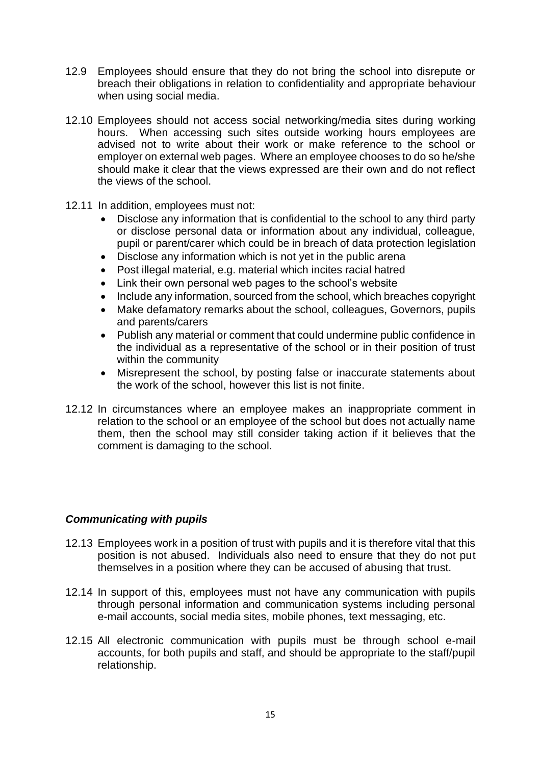- 12.9 Employees should ensure that they do not bring the school into disrepute or breach their obligations in relation to confidentiality and appropriate behaviour when using social media.
- 12.10 Employees should not access social networking/media sites during working hours. When accessing such sites outside working hours employees are advised not to write about their work or make reference to the school or employer on external web pages. Where an employee chooses to do so he/she should make it clear that the views expressed are their own and do not reflect the views of the school.
- 12.11 In addition, employees must not:
	- Disclose any information that is confidential to the school to any third party or disclose personal data or information about any individual, colleague, pupil or parent/carer which could be in breach of data protection legislation
	- Disclose any information which is not yet in the public arena
	- Post illegal material, e.g. material which incites racial hatred
	- Link their own personal web pages to the school's website
	- Include any information, sourced from the school, which breaches copyright
	- Make defamatory remarks about the school, colleagues, Governors, pupils and parents/carers
	- Publish any material or comment that could undermine public confidence in the individual as a representative of the school or in their position of trust within the community
	- Misrepresent the school, by posting false or inaccurate statements about the work of the school, however this list is not finite.
- 12.12 In circumstances where an employee makes an inappropriate comment in relation to the school or an employee of the school but does not actually name them, then the school may still consider taking action if it believes that the comment is damaging to the school.

#### *Communicating with pupils*

- 12.13 Employees work in a position of trust with pupils and it is therefore vital that this position is not abused. Individuals also need to ensure that they do not put themselves in a position where they can be accused of abusing that trust.
- 12.14 In support of this, employees must not have any communication with pupils through personal information and communication systems including personal e-mail accounts, social media sites, mobile phones, text messaging, etc.
- 12.15 All electronic communication with pupils must be through school e-mail accounts, for both pupils and staff, and should be appropriate to the staff/pupil relationship.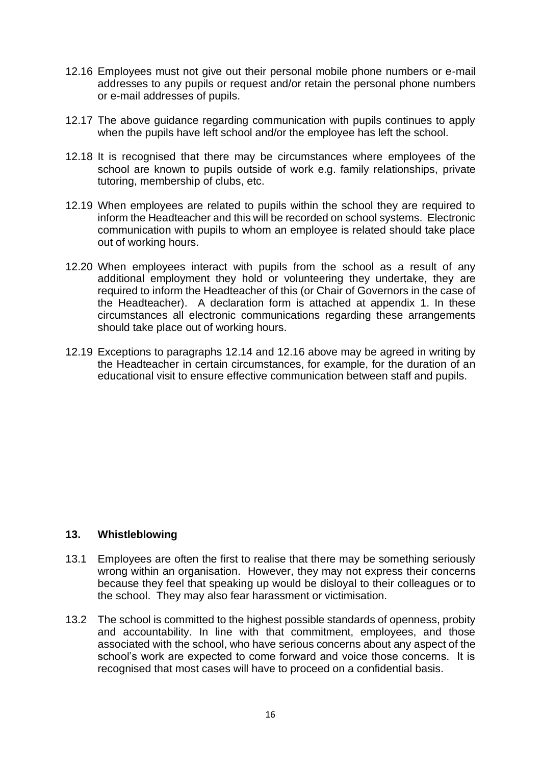- 12.16 Employees must not give out their personal mobile phone numbers or e-mail addresses to any pupils or request and/or retain the personal phone numbers or e-mail addresses of pupils.
- 12.17 The above guidance regarding communication with pupils continues to apply when the pupils have left school and/or the employee has left the school.
- 12.18 It is recognised that there may be circumstances where employees of the school are known to pupils outside of work e.g. family relationships, private tutoring, membership of clubs, etc.
- 12.19 When employees are related to pupils within the school they are required to inform the Headteacher and this will be recorded on school systems. Electronic communication with pupils to whom an employee is related should take place out of working hours.
- 12.20 When employees interact with pupils from the school as a result of any additional employment they hold or volunteering they undertake, they are required to inform the Headteacher of this (or Chair of Governors in the case of the Headteacher). A declaration form is attached at appendix 1. In these circumstances all electronic communications regarding these arrangements should take place out of working hours.
- 12.19 Exceptions to paragraphs 12.14 and 12.16 above may be agreed in writing by the Headteacher in certain circumstances, for example, for the duration of an educational visit to ensure effective communication between staff and pupils.

#### **13. Whistleblowing**

- 13.1 Employees are often the first to realise that there may be something seriously wrong within an organisation. However, they may not express their concerns because they feel that speaking up would be disloyal to their colleagues or to the school. They may also fear harassment or victimisation.
- 13.2 The school is committed to the highest possible standards of openness, probity and accountability. In line with that commitment, employees, and those associated with the school, who have serious concerns about any aspect of the school's work are expected to come forward and voice those concerns. It is recognised that most cases will have to proceed on a confidential basis.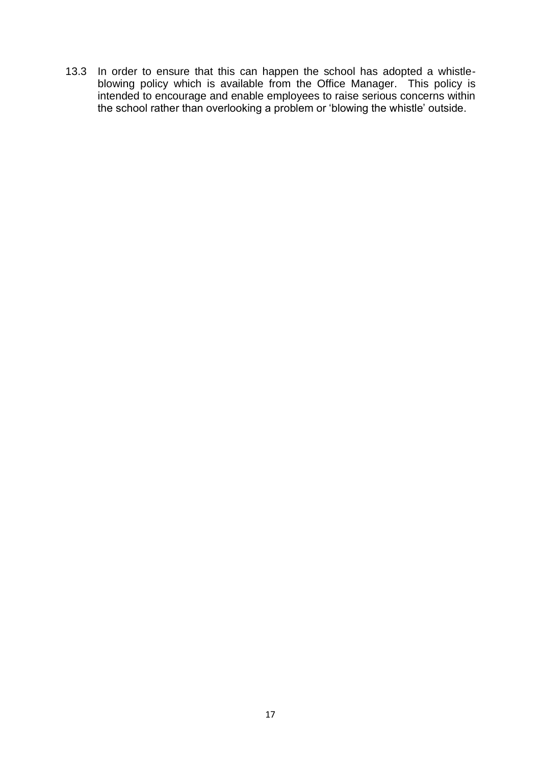13.3 In order to ensure that this can happen the school has adopted a whistleblowing policy which is available from the Office Manager. This policy is intended to encourage and enable employees to raise serious concerns within the school rather than overlooking a problem or 'blowing the whistle' outside.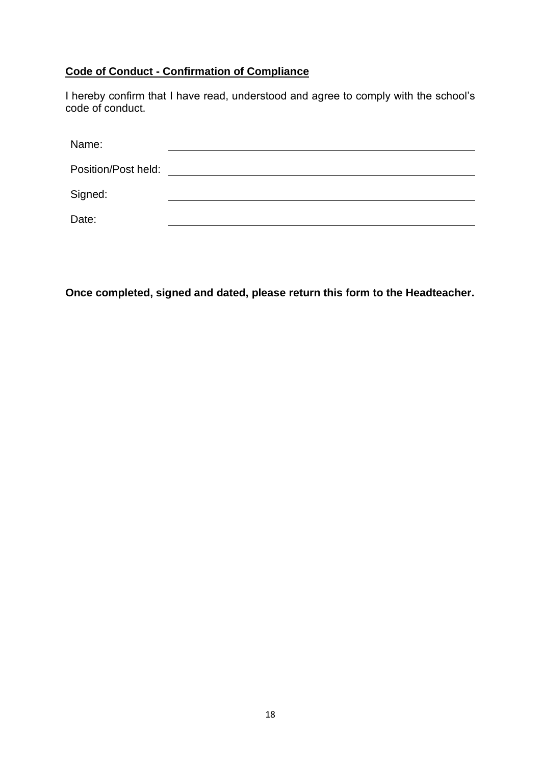## **Code of Conduct - Confirmation of Compliance**

I hereby confirm that I have read, understood and agree to comply with the school's code of conduct.

| Name:               |  |
|---------------------|--|
| Position/Post held: |  |
| Signed:             |  |
| Date:               |  |

**Once completed, signed and dated, please return this form to the Headteacher.**